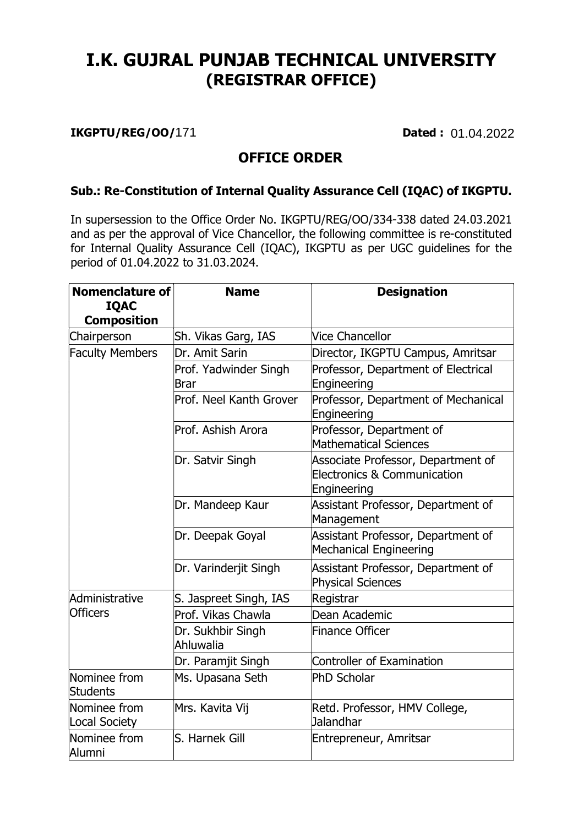## I.K. GUJRAL PUNJAB TECHNICAL UNIVERSITY (REGISTRAR OFFICE)

**IKGPTU/REG/00/171** 

**Dated: 01.04.2022** 

## OFFICE ORDER

## Sub.: Re-Constitution of Internal Quality Assurance Cell (IQAC) of IKGPTU.

In supersession to the Office Order No. IKGPTU/REG/OO/334-338 dated 24.03.2021 and as per the approval of Vice Chancellor, the following committee is re-constituted for Internal Quality Assurance Cell (IQAC), IKGPTU as per UGC guidelines for the period of 01.04.2022 to 31.03.2024.

| <b>Nomenclature of</b><br><b>IQAC</b><br><b>Composition</b> | <b>Name</b>                    | <b>Designation</b>                                                               |
|-------------------------------------------------------------|--------------------------------|----------------------------------------------------------------------------------|
| Chairperson                                                 | Sh. Vikas Garg, IAS            | Vice Chancellor                                                                  |
| <b>Faculty Members</b>                                      | Dr. Amit Sarin                 | Director, IKGPTU Campus, Amritsar                                                |
|                                                             | Prof. Yadwinder Singh<br>Brar  | Professor, Department of Electrical<br>Engineering                               |
|                                                             | Prof. Neel Kanth Grover        | Professor, Department of Mechanical<br>Engineering                               |
|                                                             | Prof. Ashish Arora             | Professor, Department of<br><b>Mathematical Sciences</b>                         |
|                                                             | Dr. Satvir Singh               | Associate Professor, Department of<br>Electronics & Communication<br>Engineering |
|                                                             | Dr. Mandeep Kaur               | Assistant Professor, Department of<br>Management                                 |
|                                                             | Dr. Deepak Goyal               | Assistant Professor, Department of<br><b>Mechanical Engineering</b>              |
|                                                             | Dr. Varinderjit Singh          | Assistant Professor, Department of<br><b>Physical Sciences</b>                   |
| Administrative<br><b>Officers</b>                           | S. Jaspreet Singh, IAS         | Registrar                                                                        |
|                                                             | Prof. Vikas Chawla             | Dean Academic                                                                    |
|                                                             | Dr. Sukhbir Singh<br>Ahluwalia | <b>Finance Officer</b>                                                           |
|                                                             | Dr. Paramjit Singh             | <b>Controller of Examination</b>                                                 |
| Nominee from<br>Students                                    | Ms. Upasana Seth               | PhD Scholar                                                                      |
| Nominee from<br>Local Society                               | Mrs. Kavita Vij                | Retd. Professor, HMV College,<br>Jalandhar                                       |
| Nominee from<br>Alumni                                      | S. Harnek Gill                 | Entrepreneur, Amritsar                                                           |